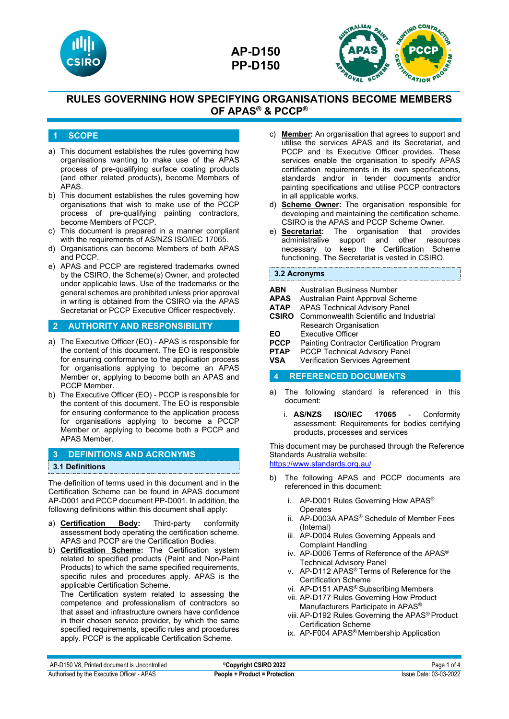



## **1 SCOPE**

- a) This document establishes the rules governing how organisations wanting to make use of the APAS process of pre-qualifying surface coating products (and other related products), become Members of APAS.
- b) This document establishes the rules governing how organisations that wish to make use of the PCCP process of pre-qualifying painting contractors, become Members of PCCP.
- c) This document is prepared in a manner compliant with the requirements of AS/NZS ISO/IEC 17065.
- d) Organisations can become Members of both APAS and PCCP.
- e) APAS and PCCP are registered trademarks owned by the CSIRO, the Scheme(s) Owner, and protected under applicable laws. Use of the trademarks or the general schemes are prohibited unless prior approval in writing is obtained from the CSIRO via the APAS Secretariat or PCCP Executive Officer respectively.

## **2 AUTHORITY AND RESPONSIBILITY**

- a) The Executive Officer (EO) APAS is responsible for the content of this document. The EO is responsible for ensuring conformance to the application process for organisations applying to become an APAS Member or, applying to become both an APAS and PCCP Member.
- b) The Executive Officer (EO) PCCP is responsible for the content of this document. The EO is responsible for ensuring conformance to the application process for organisations applying to become a PCCP Member or, applying to become both a PCCP and APAS Member.

### **3 DEFINITIONS AND ACRONYMS**

### **3.1 Definitions**

The definition of terms used in this document and in the Certification Scheme can be found in APAS document AP-D001 and PCCP document PP-D001. In addition, the following definitions within this document shall apply:

- a) **Certification Body:** Third-party conformity assessment body operating the certification scheme. APAS and PCCP are the Certification Bodies.
- b) **Certification Scheme:** The Certification system related to specified products (Paint and Non-Paint Products) to which the same specified requirements, specific rules and procedures apply. APAS is the applicable Certification Scheme.

The Certification system related to assessing the competence and professionalism of contractors so that asset and infrastructure owners have confidence in their chosen service provider, by which the same specified requirements, specific rules and procedures apply. PCCP is the applicable Certification Scheme.

- c) **Member:** An organisation that agrees to support and utilise the services APAS and its Secretariat, and PCCP and its Executive Officer provides. These services enable the organisation to specify APAS certification requirements in its own specifications, standards and/or in tender documents and/or painting specifications and utilise PCCP contractors in all applicable works.
- d) **Scheme Owner:** The organisation responsible for developing and maintaining the certification scheme. CSIRO is the APAS and PCCP Scheme Owner.
- e) **Secretariat:** The organisation that provides administrative support and other resources necessary to keep the Certification Scheme functioning. The Secretariat is vested in CSIRO.

### **3.2 Acronyms**

- **ABN** Australian Business Number<br>**APAS** Australian Paint Approval Sc
- **APAS** Australian Paint Approval Scheme
- **ATAP** APAS Technical Advisory Panel<br>**CSIRO** Commonwealth Scientific and In-
- **Commonwealth Scientific and Industrial** Research Organisation
- **EO** Executive Officer<br>**PCCP** Painting Contract
- **PCCP** Painting Contractor Certification Program<br>**PTAP** PCCP Technical Advisory Panel
- **PTAP** PCCP Technical Advisory Panel<br> **VSA** Verification Services Agreement
- **Verification Services Agreement**

### **4 REFERENCED DOCUMENTS**

- a) The following standard is referenced in this document:
	- i. **AS/NZS ISO/IEC 17065** Conformity assessment: Requirements for bodies certifying products, processes and services

This document may be purchased through the Reference Standards Australia website:

<https://www.standards.org.au/>

- b) The following APAS and PCCP documents are referenced in this document:
	- i. AP-D001 Rules Governing How APAS® **Operates**
	- ii. AP-D003A APAS® Schedule of Member Fees (Internal)
	- iii. AP-D004 Rules Governing Appeals and Complaint Handling
	- iv. AP-D006 Terms of Reference of the APAS® Technical Advisory Panel
	- v. AP-D112 APAS® Terms of Reference for the Certification Scheme
	- vi. AP-D151 APAS® Subscribing Members
	- vii. AP-D177 Rules Governing How Product Manufacturers Participate in APAS®
	- viii.AP-D192 Rules Governing the APAS® Product Certification Scheme
	- ix. AP-F004 APAS® Membership Application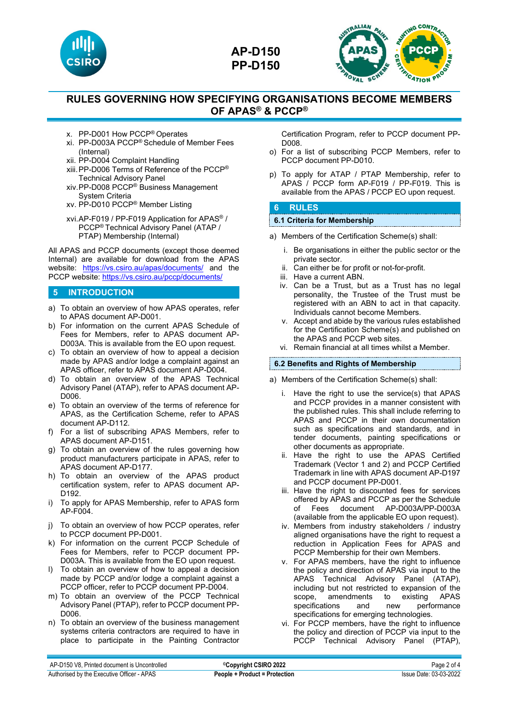



- x. PP-D001 How PCCP® Operates
- xi. PP-D003A PCCP® Schedule of Member Fees (Internal)
- xii. PP-D004 Complaint Handling
- xiii.PP-D006 Terms of Reference of the PCCP® Technical Advisory Panel
- xiv.PP-D008 PCCP® Business Management System Criteria
- xv. PP-D010 PCCP® Member Listing
- xvi.AP-F019 / PP-F019 Application for APAS® / PCCP® Technical Advisory Panel (ATAP / PTAP) Membership (Internal)

All APAS and PCCP documents (except those deemed Internal) are available for download from the APAS website: <https://vs.csiro.au/apas/documents/> and the PCCP website[: https://vs.csiro.au/pccp/documents/](https://vs.csiro.au/pccp/documents/)

## **5 INTRODUCTION**

- a) To obtain an overview of how APAS operates, refer to APAS document AP-D001.
- b) For information on the current APAS Schedule of Fees for Members, refer to APAS document AP-D003A. This is available from the EO upon request.
- c) To obtain an overview of how to appeal a decision made by APAS and/or lodge a complaint against an APAS officer, refer to APAS document AP-D004.
- d) To obtain an overview of the APAS Technical Advisory Panel (ATAP), refer to APAS document AP-D006.
- e) To obtain an overview of the terms of reference for APAS, as the Certification Scheme, refer to APAS document AP-D112.
- f) For a list of subscribing APAS Members, refer to APAS document AP-D151.
- g) To obtain an overview of the rules governing how product manufacturers participate in APAS, refer to APAS document AP-D177.
- h) To obtain an overview of the APAS product certification system, refer to APAS document AP-D192.
- i) To apply for APAS Membership, refer to APAS form AP-F004.
- j) To obtain an overview of how PCCP operates, refer to PCCP document PP-D001.
- k) For information on the current PCCP Schedule of Fees for Members, refer to PCCP document PP-D003A. This is available from the EO upon request.
- l) To obtain an overview of how to appeal a decision made by PCCP and/or lodge a complaint against a PCCP officer, refer to PCCP document PP-D004.
- m) To obtain an overview of the PCCP Technical Advisory Panel (PTAP), refer to PCCP document PP-D006.
- n) To obtain an overview of the business management systems criteria contractors are required to have in place to participate in the Painting Contractor

Certification Program, refer to PCCP document PP-D008.

- o) For a list of subscribing PCCP Members, refer to PCCP document PP-D010.
- p) To apply for ATAP / PTAP Membership, refer to APAS / PCCP form AP-F019 / PP-F019. This is available from the APAS / PCCP EO upon request.

### **6 RULES**

# **6.1 Criteria for Membership**

- a) Members of the Certification Scheme(s) shall:
	- i. Be organisations in either the public sector or the private sector.
	- ii. Can either be for profit or not-for-profit.
	- iii. Have a current ABN.
	- iv. Can be a Trust, but as a Trust has no legal personality, the Trustee of the Trust must be registered with an ABN to act in that capacity. Individuals cannot become Members.
	- v. Accept and abide by the various rules established for the Certification Scheme(s) and published on the APAS and PCCP web sites.
	- vi. Remain financial at all times whilst a Member.

### **6.2 Benefits and Rights of Membership**

- a) Members of the Certification Scheme(s) shall:
	- i. Have the right to use the service(s) that APAS and PCCP provides in a manner consistent with the published rules. This shall include referring to APAS and PCCP in their own documentation such as specifications and standards, and in tender documents, painting specifications or other documents as appropriate.
	- ii. Have the right to use the APAS Certified Trademark (Vector 1 and 2) and PCCP Certified Trademark in line with APAS document AP-D197 and PCCP document PP-D001.
	- iii. Have the right to discounted fees for services offered by APAS and PCCP as per the Schedule of Fees document AP-D003A/PP-D003A (available from the applicable EO upon request).
	- iv. Members from industry stakeholders / industry aligned organisations have the right to request a reduction in Application Fees for APAS and PCCP Membership for their own Members.
	- v. For APAS members, have the right to influence the policy and direction of APAS via input to the APAS Technical Advisory Panel (ATAP), including but not restricted to expansion of the scope, amendments to existing APAS scope, amendments to specifications and new performance specifications for emerging technologies.
	- vi. For PCCP members, have the right to influence the policy and direction of PCCP via input to the PCCP Technical Advisory Panel (PTAP),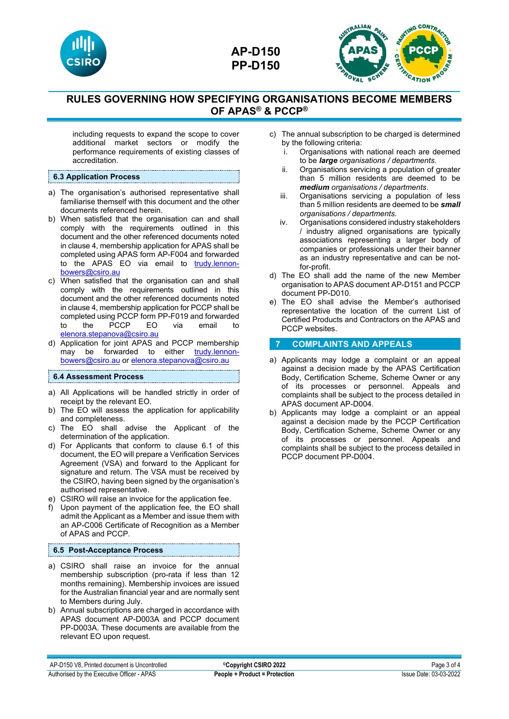



including requests to expand the scope to cover additional market sectors or modify the performance requirements of existing classes of accreditation.

### **6.3 Application Process**

- a) The organisation's authorised representative shall familiarise themself with this document and the other documents referenced herein.
- b) When satisfied that the organisation can and shall comply with the requirements outlined in this document and the other referenced documents noted in clause 4, membership application for APAS shall be completed using APAS form AP-F004 and forwarded to the APAS EO via email to [trudy.lennon](mailto:trudy.lennon-bowers@csiro.au)[bowers@csiro.au](mailto:trudy.lennon-bowers@csiro.au)
- c) When satisfied that the organisation can and shall comply with the requirements outlined in this document and the other referenced documents noted in clause 4, membership application for PCCP shall be completed using PCCP form PP-F019 and forwarded to the PCCP EO via email to [elenora.stepanova@csiro.au](mailto:elenora.stepanova@csiro.au)
- d) Application for joint APAS and PCCP membership may be forwarded to either [trudy.lennon](mailto:trudy.lennon-bowers@csiro.au)[bowers@csiro.au](mailto:trudy.lennon-bowers@csiro.au) o[r elenora.stepanova@csiro.au](mailto:elenora.stepanova@csiro.au)

### **6.4 Assessment Process**

- a) All Applications will be handled strictly in order of receipt by the relevant EO.
- b) The EO will assess the application for applicability and completeness.
- c) The EO shall advise the Applicant of the determination of the application.
- d) For Applicants that conform to clause 6.1 of this document, the EO will prepare a Verification Services Agreement (VSA) and forward to the Applicant for signature and return. The VSA must be received by the CSIRO, having been signed by the organisation's authorised representative.
- e) CSIRO will raise an invoice for the application fee.
- f) Upon payment of the application fee, the EO shall admit the Applicant as a Member and issue them with an AP-C006 Certificate of Recognition as a Member of APAS and PCCP.

### **6.5 Post-Acceptance Process**

- a) CSIRO shall raise an invoice for the annual membership subscription (pro-rata if less than 12 months remaining). Membership invoices are issued for the Australian financial year and are normally sent to Members during July.
- b) Annual subscriptions are charged in accordance with APAS document AP-D003A and PCCP document PP-D003A. These documents are available from the relevant EO upon request.
- c) The annual subscription to be charged is determined by the following criteria:
	- Organisations with national reach are deemed to be *large organisations / departments*.
	- ii. Organisations servicing a population of greater than 5 million residents are deemed to be *medium organisations / departments*.
	- iii. Organisations servicing a population of less than 5 million residents are deemed to be *small organisations / departments*.
	- iv. Organisations considered industry stakeholders / industry aligned organisations are typically associations representing a larger body of companies or professionals under their banner as an industry representative and can be notfor-profit.
- d) The EO shall add the name of the new Member organisation to APAS document AP-D151 and PCCP document PP-D010.
- e) The EO shall advise the Member's authorised representative the location of the current List of Certified Products and Contractors on the APAS and PCCP websites.

### **7 COMPLAINTS AND APPEALS**

- a) Applicants may lodge a complaint or an appeal against a decision made by the APAS Certification Body, Certification Scheme, Scheme Owner or any of its processes or personnel. Appeals and complaints shall be subject to the process detailed in APAS document AP-D004.
- b) Applicants may lodge a complaint or an appeal against a decision made by the PCCP Certification Body, Certification Scheme, Scheme Owner or any of its processes or personnel. Appeals and complaints shall be subject to the process detailed in PCCP document PP-D004.